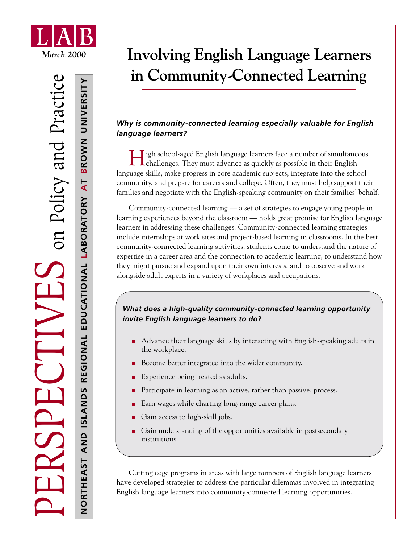

**NORTHEAST AND ISLANDS REGIONAL EDUCATIONAL** 

AND ISLANDS

REGIONAL

**LABORATORY** 

EDUCATIONAL LABORATORY

**AT** 

**BROWN UNIVERSITY**

BROWN UNIVERSITY

# *March 2000* **Involving English Language Learners in Community-Connected Learning**

# *Why is community-connected learning especially valuable for English language learners?*

**H**igh school-aged English language learners face a number of simultaneous **L** challenges. They must advance as quickly as possible in their English language skills, make progress in core academic subjects, integrate into the school community, and prepare for careers and college. Often, they must help support their families and negotiate with the English-speaking community on their families' behalf.

Community-connected learning — a set of strategies to engage young people in learning experiences beyond the classroom — holds great promise for English language learners in addressing these challenges. Community-connected learning strategies include internships at work sites and project-based learning in classrooms. In the best community-connected learning activities, students come to understand the nature of expertise in a career area and the connection to academic learning, to understand how they might pursue and expand upon their own interests, and to observe and work alongside adult experts in a variety of workplaces and occupations.

# *What does a high-quality community-connected learning opportunity invite English language learners to do?*

- Advance their language skills by interacting with English-speaking adults in the workplace.
- Become better integrated into the wider community.
- Experience being treated as adults.
- Participate in learning as an active, rather than passive, process.
- Earn wages while charting long-range career plans.
- Gain access to high-skill jobs.
- Gain understanding of the opportunities available in postsecondary п institutions.

Cutting edge programs in areas with large numbers of English language learners have developed strategies to address the particular dilemmas involved in integrating English language learners into community-connected learning opportunities.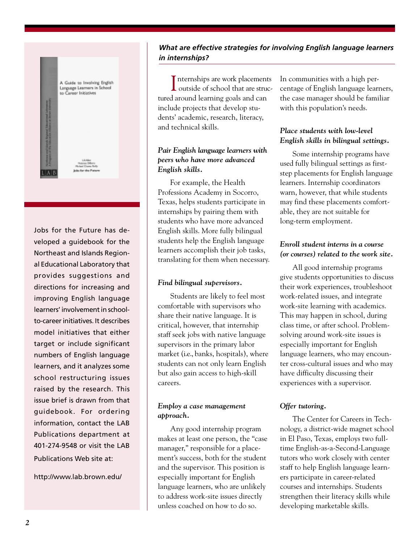

Jobs for the Future has developed a guidebook for the Northeast and Islands Regional Educational Laboratory that provides suggestions and directions for increasing and improving English language learners' involvement in schoolto-career initiatives. It describes model initiatives that either target or include significant numbers of English language learners, and it analyzes some school restructuring issues raised by the research. This issue brief is drawn from that guidebook. For ordering information, contact the LAB Publications department at 401-274-9548 or visit the LAB Publications Web site at:

http://www.lab.brown.edu/

# *What are effective strategies for involving English language learners in internships?*

Internships are work placements<br>
outside of school that are struc-Internships are work placements tured around learning goals and can include projects that develop students' academic, research, literacy, and technical skills.

# *Pair English language learners with peers who have more advanced English skills.*

For example, the Health Professions Academy in Socorro, Texas, helps students participate in internships by pairing them with students who have more advanced English skills. More fully bilingual students help the English language learners accomplish their job tasks, translating for them when necessary.

#### *Find bilingual supervisors.*

Students are likely to feel most comfortable with supervisors who share their native language. It is critical, however, that internship staff seek jobs with native language supervisors in the primary labor market (i.e., banks, hospitals), where students can not only learn English but also gain access to high-skill careers.

# *Employ a case management approach.*

Any good internship program makes at least one person, the "case manager," responsible for a placement's success, both for the student and the supervisor. This position is especially important for English language learners, who are unlikely to address work-site issues directly unless coached on how to do so.

In communities with a high percentage of English language learners, the case manager should be familiar with this population's needs.

# *Place students with low-level English skills in bilingual settings.*

Some internship programs have used fully bilingual settings as firststep placements for English language learners. Internship coordinators warn, however, that while students may find these placements comfortable, they are not suitable for long-term employment.

# *Enroll student interns in a course (or courses) related to the work site.*

All good internship programs give students opportunities to discuss their work experiences, troubleshoot work-related issues, and integrate work-site learning with academics. This may happen in school, during class time, or after school. Problemsolving around work-site issues is especially important for English language learners, who may encounter cross-cultural issues and who may have difficulty discussing their experiences with a supervisor.

# *Offer tutoring.*

The Center for Careers in Technology, a district-wide magnet school in El Paso, Texas, employs two fulltime English-as-a-Second-Language tutors who work closely with center staff to help English language learners participate in career-related courses and internships. Students strengthen their literacy skills while developing marketable skills.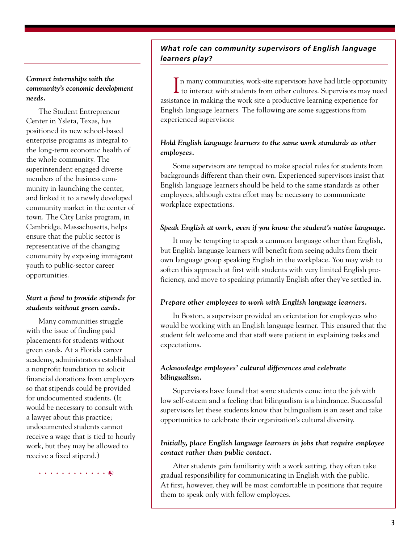# *What role can community supervisors of English language learners play?*

*Connect internships with the community's economic development needs.*

The Student Entrepreneur Center in Ysleta, Texas, has positioned its new school-based enterprise programs as integral to the long-term economic health of the whole community. The superintendent engaged diverse members of the business community in launching the center, and linked it to a newly developed community market in the center of town. The City Links program, in Cambridge, Massachusetts, helps ensure that the public sector is representative of the changing community by exposing immigrant youth to public-sector career opportunities.

# *Start a fund to provide stipends for students without green cards.*

Many communities struggle with the issue of finding paid placements for students without green cards. At a Florida career academy, administrators established a nonprofit foundation to solicit financial donations from employers so that stipends could be provided for undocumented students. (It would be necessary to consult with a lawyer about this practice; undocumented students cannot receive a wage that is tied to hourly work, but they may be allowed to receive a fixed stipend.)

aaaaaaaaaaaa

In many communities, work-site supervisors have had little opportunity<br>to interact with students from other cultures. Supervisors may need In many communities, work-site supervisors have had little opportunity assistance in making the work site a productive learning experience for English language learners. The following are some suggestions from experienced supervisors:

#### *Hold English language learners to the same work standards as other employees.*

Some supervisors are tempted to make special rules for students from backgrounds different than their own. Experienced supervisors insist that English language learners should be held to the same standards as other employees, although extra effort may be necessary to communicate workplace expectations.

#### *Speak English at work, even if you know the student's native language.*

It may be tempting to speak a common language other than English, but English language learners will benefit from seeing adults from their own language group speaking English in the workplace. You may wish to soften this approach at first with students with very limited English proficiency, and move to speaking primarily English after they've settled in.

#### *Prepare other employees to work with English language learners.*

In Boston, a supervisor provided an orientation for employees who would be working with an English language learner. This ensured that the student felt welcome and that staff were patient in explaining tasks and expectations.

#### *Acknowledge employees' cultural differences and celebrate bilingualism.*

Supervisors have found that some students come into the job with low self-esteem and a feeling that bilingualism is a hindrance. Successful supervisors let these students know that bilingualism is an asset and take opportunities to celebrate their organization's cultural diversity.

#### *Initially, place English language learners in jobs that require employee contact rather than public contact.*

After students gain familiarity with a work setting, they often take gradual responsibility for communicating in English with the public. At first, however, they will be most comfortable in positions that require them to speak only with fellow employees.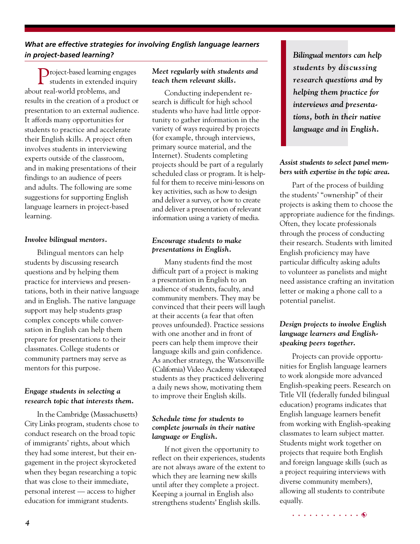# *What are effective strategies for involving English language learners in project-based learning?*

Project-based learning engages students in extended inquiry about real-world problems, and results in the creation of a product or presentation to an external audience. It affords many opportunities for students to practice and accelerate their English skills. A project often involves students in interviewing experts outside of the classroom, and in making presentations of their findings to an audience of peers and adults. The following are some suggestions for supporting English language learners in project-based learning.

#### *Involve bilingual mentors.*

Bilingual mentors can help students by discussing research questions and by helping them practice for interviews and presentations, both in their native language and in English. The native language support may help students grasp complex concepts while conversation in English can help them prepare for presentations to their classmates. College students or community partners may serve as mentors for this purpose.

# *Engage students in selecting a research topic that interests them.*

In the Cambridge (Massachusetts) City Links program, students chose to conduct research on the broad topic of immigrants' rights, about which they had some interest, but their engagement in the project skyrocketed when they began researching a topic that was close to their immediate, personal interest — access to higher education for immigrant students.

#### *Meet regularly with students and teach them relevant skills.*

Conducting independent research is difficult for high school students who have had little opportunity to gather information in the variety of ways required by projects (for example, through interviews, primary source material, and the Internet). Students completing projects should be part of a regularly scheduled class or program. It is helpful for them to receive mini-lessons on key activities, such as how to design and deliver a survey, or how to create and deliver a presentation of relevant information using a variety of media.

#### *Encourage students to make presentations in English.*

Many students find the most difficult part of a project is making a presentation in English to an audience of students, faculty, and community members. They may be convinced that their peers will laugh at their accents (a fear that often proves unfounded). Practice sessions with one another and in front of peers can help them improve their language skills and gain confidence. As another strategy, the Watsonville (California) Video Academy videotaped students as they practiced delivering a daily news show, motivating them to improve their English skills.

#### *Schedule time for students to complete journals in their native language or English.*

If not given the opportunity to reflect on their experiences, students are not always aware of the extent to which they are learning new skills until after they complete a project. Keeping a journal in English also strengthens students' English skills.

*Bilingual mentors can help students by discussing research questions and by helping them practice for interviews and presentations, both in their native language and in English.*

## *Assist students to select panel members with expertise in the topic area.*

Part of the process of building the students' "ownership" of their projects is asking them to choose the appropriate audience for the findings. Often, they locate professionals through the process of conducting their research. Students with limited English proficiency may have particular difficulty asking adults to volunteer as panelists and might need assistance crafting an invitation letter or making a phone call to a potential panelist.

# *Design projects to involve English language learners and Englishspeaking peers together.*

Projects can provide opportunities for English language learners to work alongside more advanced English-speaking peers. Research on Title VII (federally funded bilingual education) programs indicates that English language learners benefit from working with English-speaking classmates to learn subject matter. Students might work together on projects that require both English and foreign language skills (such as a project requiring interviews with diverse community members), allowing all students to contribute equally.

. . . . . . . . . . . . 0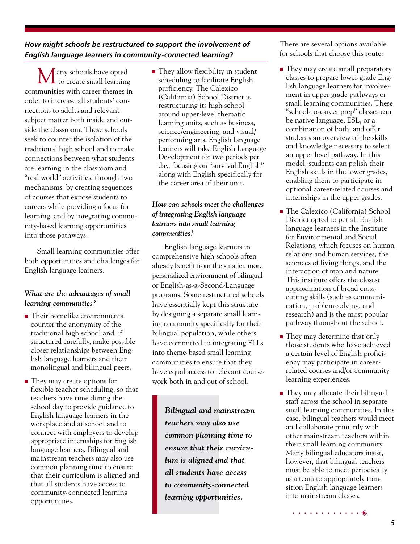*How might schools be restructured to support the involvement of English language learners in community-connected learning?*

Many schools have opted  $\mathbf 1$  to create small learning communities with career themes in order to increase all students' connections to adults and relevant subject matter both inside and outside the classroom. These schools seek to counter the isolation of the traditional high school and to make connections between what students are learning in the classroom and "real world" activities, through two mechanisms: by creating sequences of courses that expose students to careers while providing a focus for learning, and by integrating community-based learning opportunities into those pathways.

Small learning communities offer both opportunities and challenges for English language learners.

# *What are the advantages of small learning communities?*

- **Their homelike environments** counter the anonymity of the traditional high school and, if structured carefully, make possible closer relationships between English language learners and their monolingual and bilingual peers.
- They may create options for flexible teacher scheduling, so that teachers have time during the school day to provide guidance to English language learners in the workplace and at school and to connect with employers to develop appropriate internships for English language learners. Bilingual and mainstream teachers may also use common planning time to ensure that their curriculum is aligned and that all students have access to community-connected learning opportunities.

■ They allow flexibility in student scheduling to facilitate English proficiency. The Calexico (California) School District is restructuring its high school around upper-level thematic learning units, such as business, science/engineering, and visual/ performing arts. English language learners will take English Language Development for two periods per day, focusing on "survival English" along with English specifically for the career area of their unit.

# *How can schools meet the challenges of integrating English language learners into small learning communities?*

English language learners in comprehensive high schools often already benefit from the smaller, more personalized environment of bilingual or English-as-a-Second-Language programs. Some restructured schools have essentially kept this structure by designing a separate small learning community specifically for their bilingual population, while others have committed to integrating ELLs into theme-based small learning communities to ensure that they have equal access to relevant coursework both in and out of school.

> *Bilingual and mainstream teachers may also use common planning time to ensure that their curriculum is aligned and that all students have access to community-connected learning opportunities.*

There are several options available for schools that choose this route:

- They may create small preparatory classes to prepare lower-grade English language learners for involvement in upper grade pathways or small learning communities. These "school-to-career prep" classes can be native language, ESL, or a combination of both, and offer students an overview of the skills and knowledge necessary to select an upper level pathway. In this model, students can polish their English skills in the lower grades, enabling them to participate in optional career-related courses and internships in the upper grades.
- The Calexico (California) School District opted to put all English language learners in the Institute for Environmental and Social Relations, which focuses on human relations and human services, the sciences of living things, and the interaction of man and nature. This institute offers the closest approximation of broad crosscutting skills (such as communication, problem-solving, and research) and is the most popular pathway throughout the school.
- **They may determine that only** those students who have achieved a certain level of English proficiency may participate in careerrelated courses and/or community learning experiences.
- **They may allocate their bilingual** staff across the school in separate small learning communities. In this case, bilingual teachers would meet and collaborate primarily with other mainstream teachers within their small learning community. Many bilingual educators insist, however, that bilingual teachers must be able to meet periodically as a team to appropriately transition English language learners into mainstream classes.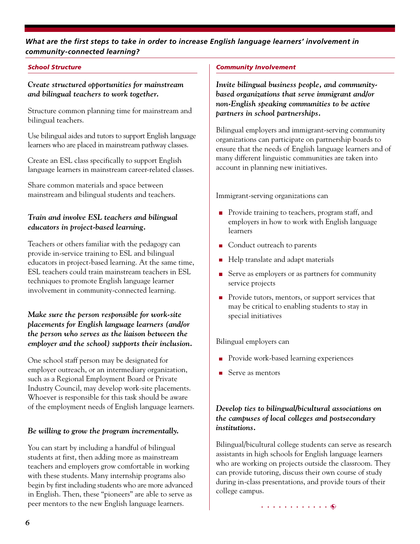# *What are the first steps to take in order to increase English language learners' involvement in community-connected learning?*

#### *School Structure*

*Create structured opportunities for mainstream and bilingual teachers to work together.*

Structure common planning time for mainstream and bilingual teachers.

Use bilingual aides and tutors to support English language learners who are placed in mainstream pathway classes.

Create an ESL class specifically to support English language learners in mainstream career-related classes.

Share common materials and space between mainstream and bilingual students and teachers.

# *Train and involve ESL teachers and bilingual educators in project-based learning.*

Teachers or others familiar with the pedagogy can provide in-service training to ESL and bilingual educators in project-based learning. At the same time, ESL teachers could train mainstream teachers in ESL techniques to promote English language learner involvement in community-connected learning.

## *Make sure the person responsible for work-site placements for English language learners (and/or the person who serves as the liaison between the employer and the school) supports their inclusion.*

One school staff person may be designated for employer outreach, or an intermediary organization, such as a Regional Employment Board or Private Industry Council, may develop work-site placements. Whoever is responsible for this task should be aware of the employment needs of English language learners.

# *Be willing to grow the program incrementally.*

You can start by including a handful of bilingual students at first, then adding more as mainstream teachers and employers grow comfortable in working with these students. Many internship programs also begin by first including students who are more advanced in English. Then, these "pioneers" are able to serve as peer mentors to the new English language learners.

#### *Community Involvement*

*Invite bilingual business people, and communitybased organizations that serve immigrant and/or non-English speaking communities to be active partners in school partnerships.*

Bilingual employers and immigrant-serving community organizations can participate on partnership boards to ensure that the needs of English language learners and of many different linguistic communities are taken into account in planning new initiatives.

Immigrant-serving organizations can

- **Provide training to teachers, program staff, and** employers in how to work with English language learners
- Conduct outreach to parents
- Help translate and adapt materials
- Serve as employers or as partners for community service projects
- **Provide tutors, mentors, or support services that** may be critical to enabling students to stay in special initiatives

#### Bilingual employers can

- Provide work-based learning experiences
- Serve as mentors

# *Develop ties to bilingual/bicultural associations on the campuses of local colleges and postsecondary institutions.*

Bilingual/bicultural college students can serve as research assistants in high schools for English language learners who are working on projects outside the classroom. They can provide tutoring, discuss their own course of study during in-class presentations, and provide tours of their college campus.

aaaaaaaaaaaa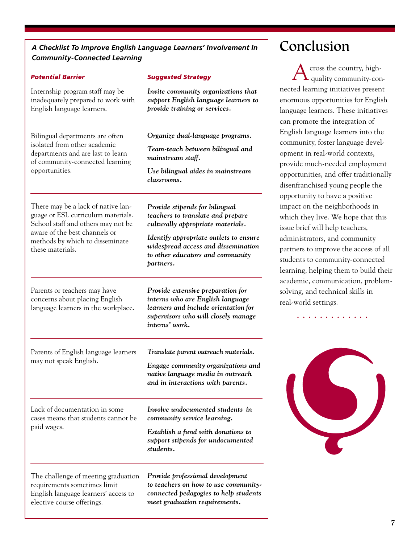*A Checklist To Improve English Language Learners' Involvement In Community-Connected Learning*

| <b>Potential Barrier</b>                                                                                                                                                                               | <b>Suggested Strategy</b>                                                                                                                                              |
|--------------------------------------------------------------------------------------------------------------------------------------------------------------------------------------------------------|------------------------------------------------------------------------------------------------------------------------------------------------------------------------|
| Internship program staff may be<br>inadequately prepared to work with<br>English language learners.                                                                                                    | Invite community organizations that<br>support English language learners to<br>provide training or services.                                                           |
| Bilingual departments are often<br>isolated from other academic<br>departments and are last to learn<br>of community-connected learning<br>opportunities.                                              | Organize dual-language programs.                                                                                                                                       |
|                                                                                                                                                                                                        | Team-teach between bilingual and<br>mainstream staff.                                                                                                                  |
|                                                                                                                                                                                                        | Use bilingual aides in mainstream<br>classrooms.                                                                                                                       |
| There may be a lack of native lan-<br>guage or ESL curriculum materials.<br>School staff and others may not be<br>aware of the best channels or<br>methods by which to disseminate<br>these materials. | Provide stipends for bilingual<br>teachers to translate and prepare<br>culturally appropriate materials.                                                               |
|                                                                                                                                                                                                        | Identify appropriate outlets to ensure<br>widespread access and dissemination<br>to other educators and community<br>partners.                                         |
| Parents or teachers may have<br>concerns about placing English<br>language learners in the workplace.                                                                                                  | Provide extensive preparation for<br>interns who are English language<br>learners and include orientation for<br>supervisors who will closely manage<br>interns' work. |
| Parents of English language learners<br>may not speak English.                                                                                                                                         | Translate parent outreach materials.<br>Engage community organizations and<br>native language media in outreach<br>and in interactions with parents.                   |
| Lack of documentation in some<br>cases means that students cannot be<br>paid wages.                                                                                                                    | Involve undocumented students in<br>community service learning.                                                                                                        |
|                                                                                                                                                                                                        | Establish a fund with donations to<br>support stipends for undocumented<br>students.                                                                                   |
| The challenge of meeting graduation<br>requirements sometimes limit<br>English language learners' access to<br>elective course offerings.                                                              | Provide professional development<br>to teachers on how to use community-<br>connected pedagogies to help students<br>meet graduation requirements.                     |

# Conclusion

cross the country, high quality community-connected learning initiatives present enormous opportunities for English language learners. These initiatives can promote the integration of English language learners into the community, foster language development in real-world contexts, provide much-needed employment opportunities, and offer traditionally disenfranchised young people the opportunity to have a positive impact on the neighborhoods in which they live. We hope that this issue brief will help teachers, administrators, and community partners to improve the access of all students to community-connected learning, helping them to build their academic, communication, problemsolving, and technical skills in real-world settings.



aaaaaaaaaaaaa